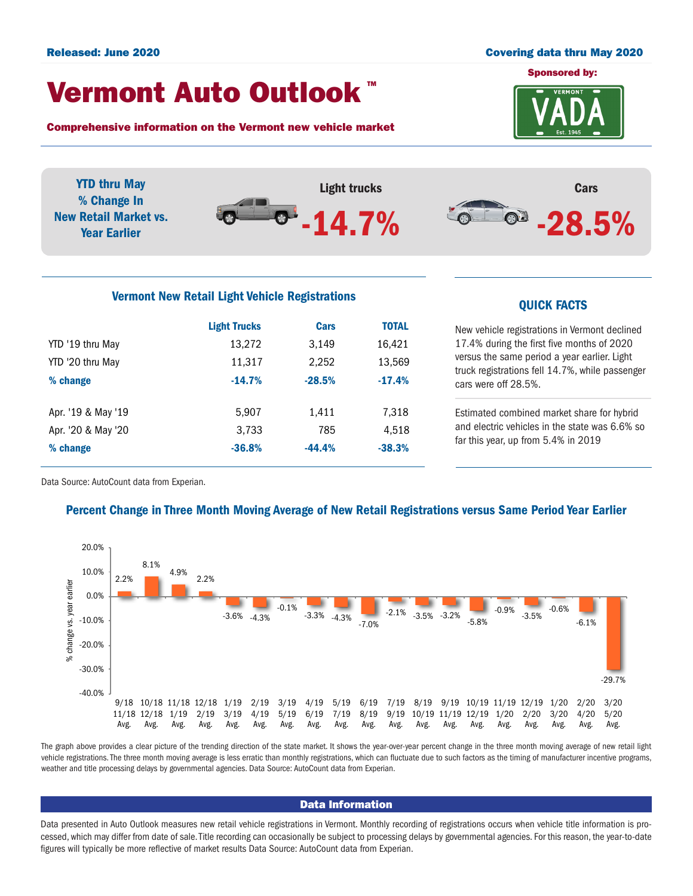#### Released: June 2020 Covering data thru May 2020

## Vermont Auto Outlook TM

Comprehensive information on the Vermont new vehicle market



YTD thru May Light trucks Cars % Change In  $-14.7%$ **O** New Retail Market vs. -28.5% Year Earlier

# Vermont New Retail Light Vehicle Registrations<br>
QUICK FACTS

|                    | <b>Light Trucks</b> | Cars     | <b>TOTAL</b> |
|--------------------|---------------------|----------|--------------|
| YTD '19 thru May   | 13,272              | 3.149    | 16,421       |
| YTD '20 thru May   | 11,317              | 2,252    | 13,569       |
| % change           | $-14.7%$            | $-28.5%$ | $-17.4%$     |
|                    |                     |          |              |
| Apr. '19 & May '19 | 5,907               | 1,411    | 7,318        |
| Apr. '20 & May '20 | 3,733               | 785      | 4,518        |
| % change           | $-36.8%$            | $-44.4%$ | $-38.3%$     |
|                    |                     |          |              |

New vehicle registrations in Vermont declined 17.4% during the first five months of 2020 versus the same period a year earlier. Light truck registrations fell 14.7%, while passenger cars were off 28.5%.

Estimated combined market share for hybrid and electric vehicles in the state was 6.6% so far this year, up from 5.4% in 2019

Data Source: AutoCount data from Experian.

### Percent Change in Three Month Moving Average of New Retail Registrations versus Same Period Year Earlier



The graph above provides a clear picture of the trending direction of the state market. It shows the year-over-year percent change in the three month moving average of new retail light vehicle registrations. The three month moving average is less erratic than monthly registrations, which can fluctuate due to such factors as the timing of manufacturer incentive programs, weather and title processing delays by governmental agencies. Data Source: AutoCount data from Experian.

#### Data Information

Data presented in Auto Outlook measures new retail vehicle registrations in Vermont. Monthly recording of registrations occurs when vehicle title information is processed, which may differ from date of sale. Title recording can occasionally be subject to processing delays by governmental agencies. For this reason, the year-to-date figures will typically be more reflective of market results Data Source: AutoCount data from Experian.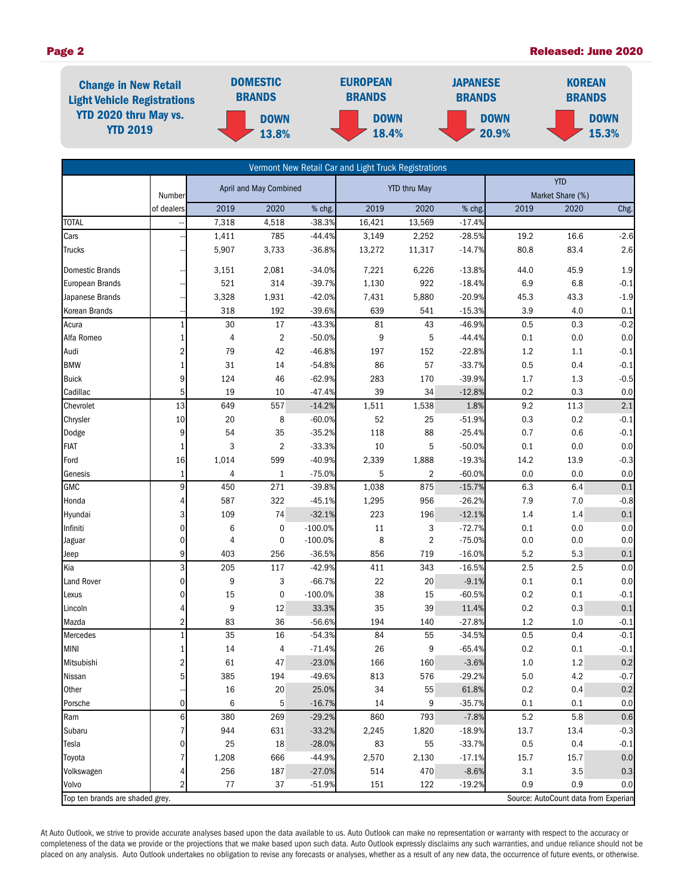#### Page 2 Released: June 2020

| <b>Change in New Retail</b><br><b>Light Vehicle Registrations</b><br><b>YTD 2020 thru May vs.</b><br><b>YTD 2019</b> | <b>DOMESTIC</b><br><b>BRANDS</b> | <b>EUROPEAN</b><br><b>BRANDS</b> | <b>JAPANESE</b><br><b>BRANDS</b> | <b>KOREAN</b><br><b>BRANDS</b> |  |
|----------------------------------------------------------------------------------------------------------------------|----------------------------------|----------------------------------|----------------------------------|--------------------------------|--|
|                                                                                                                      | <b>DOWN</b><br>13.8%             | <b>DOWN</b><br>18.4%             | <b>DOWN</b><br>20.9%             | <b>DOWN</b><br>15.3%           |  |

| Vermont New Retail Car and Light Truck Registrations |                |        |                        |           |                  |                     |          |         |                                      |         |
|------------------------------------------------------|----------------|--------|------------------------|-----------|------------------|---------------------|----------|---------|--------------------------------------|---------|
|                                                      |                |        | April and May Combined |           |                  | <b>YTD thru May</b> |          |         | <b>YTD</b>                           |         |
|                                                      | Number         |        |                        |           |                  |                     |          |         | Market Share (%)                     |         |
|                                                      | of dealers     | 2019   | 2020                   | % chg.    | 2019             | 2020                | % chg.   | 2019    | 2020                                 | Chg.    |
| <b>TOTAL</b>                                         |                | 7,318  | 4,518                  | $-38.3%$  | 16,421           | 13,569              | $-17.4%$ |         |                                      |         |
| Cars                                                 |                | 1,411  | 785                    | $-44.4%$  | 3,149            | 2,252               | $-28.5%$ | 19.2    | 16.6                                 | $-2.6$  |
| Trucks                                               |                | 5,907  | 3,733                  | $-36.8%$  | 13,272           | 11,317              | $-14.7%$ | 80.8    | 83.4                                 | 2.6     |
| <b>Domestic Brands</b>                               |                | 3,151  | 2,081                  | $-34.0%$  | 7,221            | 6,226               | $-13.8%$ | 44.0    | 45.9                                 | $1.9\,$ |
| <b>European Brands</b>                               |                | 521    | 314                    | $-39.7%$  | 1,130            | 922                 | $-18.4%$ | 6.9     | 6.8                                  | $-0.1$  |
| Japanese Brands                                      |                | 3,328  | 1,931                  | $-42.0%$  | 7,431            | 5,880               | $-20.9%$ | 45.3    | 43.3                                 | $-1.9$  |
| Korean Brands                                        |                | 318    | 192                    | $-39.6%$  | 639              | 541                 | $-15.3%$ | 3.9     | 4.0                                  | 0.1     |
| Acura                                                | 1              | $30\,$ | $17\,$                 | $-43.3%$  | 81               | 43                  | $-46.9%$ | 0.5     | 0.3                                  | $-0.2$  |
| Alfa Romeo                                           | 1              | 4      | $\overline{2}$         | $-50.0%$  | $\boldsymbol{9}$ | 5                   | $-44.4%$ | 0.1     | 0.0                                  | 0.0     |
| Audi                                                 | 2              | 79     | 42                     | $-46.8%$  | 197              | 152                 | $-22.8%$ | $1.2\,$ | 1.1                                  | $-0.1$  |
| <b>BMW</b>                                           | 1              | 31     | 14                     | $-54.8%$  | 86               | 57                  | $-33.7%$ | 0.5     | 0.4                                  | $-0.1$  |
| <b>Buick</b>                                         | 9              | 124    | 46                     | $-62.9%$  | 283              | 170                 | $-39.9%$ | 1.7     | $1.3$                                | $-0.5$  |
| Cadillac                                             | 5              | 19     | 10                     | $-47.4%$  | 39               | 34                  | $-12.8%$ | 0.2     | 0.3                                  | 0.0     |
| Chevrolet                                            | 13             | 649    | 557                    | $-14.2%$  | 1,511            | 1,538               | 1.8%     | 9.2     | 11.3                                 | 2.1     |
| Chrysler                                             | 10             | 20     | 8                      | $-60.0%$  | 52               | 25                  | $-51.9%$ | 0.3     | 0.2                                  | $-0.1$  |
| Dodge                                                | 9              | 54     | 35                     | $-35.2%$  | 118              | 88                  | $-25.4%$ | 0.7     | 0.6                                  | $-0.1$  |
| <b>FIAT</b>                                          | 1              | 3      | $\overline{2}$         | $-33.3%$  | 10               | 5                   | $-50.0%$ | 0.1     | 0.0                                  | 0.0     |
| Ford                                                 | 16             | 1,014  | 599                    | $-40.9%$  | 2,339            | 1,888               | $-19.3%$ | 14.2    | 13.9                                 | $-0.3$  |
| Genesis                                              | 1              | 4      | $\mathbf{1}$           | $-75.0%$  | 5                | $\sqrt{2}$          | $-60.0%$ | 0.0     | 0.0                                  | $0.0\,$ |
| GMC                                                  | 9              | 450    | 271                    | $-39.8%$  | 1,038            | 875                 | $-15.7%$ | 6.3     | 6.4                                  | 0.1     |
| Honda                                                | 4              | 587    | 322                    | $-45.1%$  | 1,295            | 956                 | $-26.2%$ | 7.9     | 7.0                                  | $-0.8$  |
| Hyundai                                              | 3              | 109    | 74                     | $-32.1%$  | 223              | 196                 | $-12.1%$ | 1.4     | 1.4                                  | 0.1     |
| Infiniti                                             | $\mathbf 0$    | 6      | $\boldsymbol{0}$       | $-100.0%$ | 11               | 3                   | $-72.7%$ | 0.1     | 0.0                                  | $0.0\,$ |
| Jaguar                                               | $\mathbf 0$    | 4      | $\pmb{0}$              | $-100.0%$ | 8                | $\overline{2}$      | $-75.0%$ | 0.0     | 0.0                                  | 0.0     |
| Jeep                                                 | 9              | 403    | 256                    | $-36.5%$  | 856              | 719                 | $-16.0%$ | 5.2     | 5.3                                  | 0.1     |
| Kia                                                  | 3              | 205    | 117                    | $-42.9%$  | 411              | 343                 | $-16.5%$ | 2.5     | 2.5                                  | 0.0     |
| Land Rover                                           | $\mathbf 0$    | 9      | 3                      | $-66.7%$  | 22               | 20                  | $-9.1%$  | 0.1     | 0.1                                  | 0.0     |
| Lexus                                                | $\mathbf 0$    | 15     | $\pmb{0}$              | $-100.0%$ | 38               | 15                  | $-60.5%$ | 0.2     | 0.1                                  | $-0.1$  |
| Lincoln                                              | 4              | 9      | 12                     | 33.3%     | 35               | 39                  | 11.4%    | 0.2     | $0.3\,$                              | 0.1     |
| Mazda                                                | $\overline{2}$ | 83     | 36                     | $-56.6%$  | 194              | 140                 | $-27.8%$ | 1.2     | 1.0                                  | $-0.1$  |
| Mercedes                                             |                | 35     | 16                     | $-54.3%$  | 84               | 55                  | $-34.5%$ | 0.5     | 0.4                                  | $-0.1$  |
| <b>MINI</b>                                          | 1              | 14     | 4                      | $-71.4%$  | 26               | 9                   | $-65.4%$ | 0.2     | 0.1                                  | $-0.1$  |
| Mitsubishi                                           | $\overline{2}$ | 61     | 47                     | $-23.0%$  | 166              | 160                 | $-3.6%$  | 1.0     | 1.2                                  | 0.2     |
| Nissan                                               | 5              | 385    | 194                    | -49.6%    | 813              | 576                 | $-29.2%$ | $5.0\,$ | 4.2                                  | $-0.7$  |
| Other                                                |                | 16     | 20                     | 25.0%     | 34               | 55                  | 61.8%    | 0.2     | 0.4                                  | 0.2     |
| Porsche                                              | $\mathbf 0$    | 6      | 5                      | $-16.7%$  | 14               | 9                   | $-35.7%$ | 0.1     | 0.1                                  | 0.0     |
| Ram                                                  | 6              | 380    | 269                    | $-29.2%$  | 860              | 793                 | $-7.8%$  | 5.2     | 5.8                                  | 0.6     |
| Subaru                                               |                | 944    | 631                    | $-33.2%$  | 2,245            | 1,820               | $-18.9%$ | 13.7    | 13.4                                 | $-0.3$  |
| Tesla                                                | 0              | 25     | 18                     | $-28.0%$  | 83               | 55                  | $-33.7%$ | 0.5     | 0.4                                  | $-0.1$  |
| Toyota                                               |                | 1,208  | 666                    | $-44.9%$  | 2,570            | 2,130               | $-17.1%$ | 15.7    | 15.7                                 | $0.0\,$ |
| Volkswagen                                           |                | 256    | 187                    | $-27.0%$  | 514              | 470                 | $-8.6%$  | 3.1     | 3.5                                  | $0.3\,$ |
| Volvo                                                | 2              | $77\,$ | 37                     | $-51.9%$  | 151              | 122                 | $-19.2%$ | 0.9     | 0.9                                  | 0.0     |
| Top ten brands are shaded grey.                      |                |        |                        |           |                  |                     |          |         | Source: AutoCount data from Experian |         |

At Auto Outlook, we strive to provide accurate analyses based upon the data available to us. Auto Outlook can make no representation or warranty with respect to the accuracy or completeness of the data we provide or the projections that we make based upon such data. Auto Outlook expressly disclaims any such warranties, and undue reliance should not be placed on any analysis. Auto Outlook undertakes no obligation to revise any forecasts or analyses, whether as a result of any new data, the occurrence of future events, or otherwise.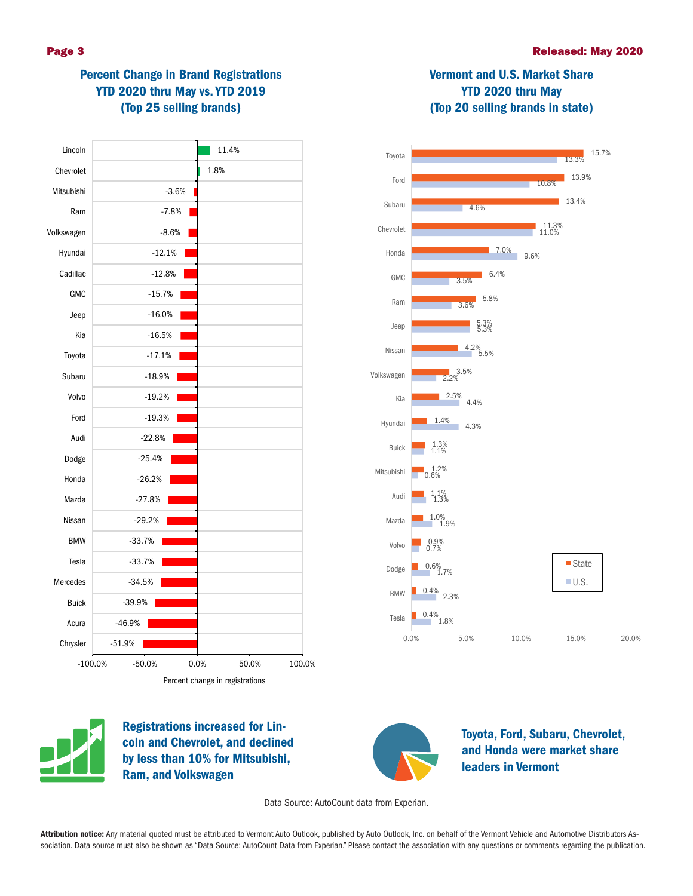

# Percent Change in Brand Registrations YTD 2020 thru May vs. YTD 2019 (Top 25 selling brands)





Vermont and U.S. Market Share YTD 2020 thru May (Top 20 selling brands in state)



Registrations increased for Lincoln and Chevrolet, and declined by less than 10% for Mitsubishi, Ram, and Volkswagen



Toyota, Ford, Subaru, Chevrolet, and Honda were market share leaders in Vermont

Data Source: AutoCount data from Experian.

Attribution notice: Any material quoted must be attributed to Vermont Auto Outlook, published by Auto Outlook, Inc. on behalf of the Vermont Vehicle and Automotive Distributors Association. Data source must also be shown as "Data Source: AutoCount Data from Experian." Please contact the association with any questions or comments regarding the publication.